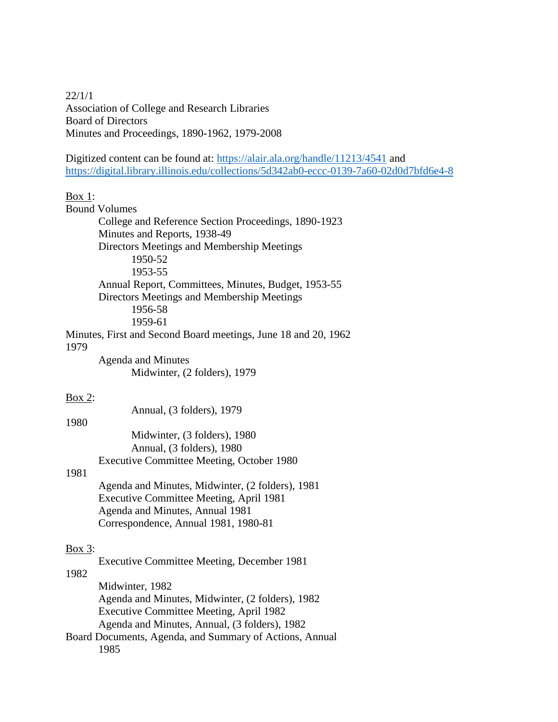22/1/1 Association of College and Research Libraries Board of Directors Minutes and Proceedings, 1890-1962, 1979-2008

Digitized content can be found at:<https://alair.ala.org/handle/11213/4541> and <https://digital.library.illinois.edu/collections/5d342ab0-eccc-0139-7a60-02d0d7bfd6e4-8>

## $Box 1$ :

|           | <b>Bound Volumes</b>                                                                                                    |
|-----------|-------------------------------------------------------------------------------------------------------------------------|
|           | College and Reference Section Proceedings, 1890-1923                                                                    |
|           | Minutes and Reports, 1938-49                                                                                            |
|           | Directors Meetings and Membership Meetings                                                                              |
|           | 1950-52                                                                                                                 |
|           | 1953-55                                                                                                                 |
|           | Annual Report, Committees, Minutes, Budget, 1953-55<br>Directors Meetings and Membership Meetings<br>1956-58<br>1959-61 |
| 1979      | Minutes, First and Second Board meetings, June 18 and 20, 1962                                                          |
|           | <b>Agenda and Minutes</b>                                                                                               |
|           | Midwinter, (2 folders), 1979                                                                                            |
| Box $2$ : |                                                                                                                         |
|           | Annual, (3 folders), 1979                                                                                               |
| 1980      |                                                                                                                         |
|           | Midwinter, (3 folders), 1980                                                                                            |
|           | Annual, (3 folders), 1980                                                                                               |
|           | <b>Executive Committee Meeting, October 1980</b>                                                                        |
| 1981      |                                                                                                                         |
|           | Agenda and Minutes, Midwinter, (2 folders), 1981                                                                        |
|           | <b>Executive Committee Meeting, April 1981</b>                                                                          |
|           | Agenda and Minutes, Annual 1981                                                                                         |
|           | Correspondence, Annual 1981, 1980-81                                                                                    |
| Box 3:    |                                                                                                                         |
|           | <b>Executive Committee Meeting, December 1981</b>                                                                       |
| 1982      |                                                                                                                         |
|           | Midwinter, 1982                                                                                                         |
|           | Agenda and Minutes, Midwinter, (2 folders), 1982                                                                        |
|           | Executive Committee Meeting, April 1982                                                                                 |
|           | Agenda and Minutes, Annual, (3 folders), 1982                                                                           |
|           | Board Documents, Agenda, and Summary of Actions, Annual<br>1985                                                         |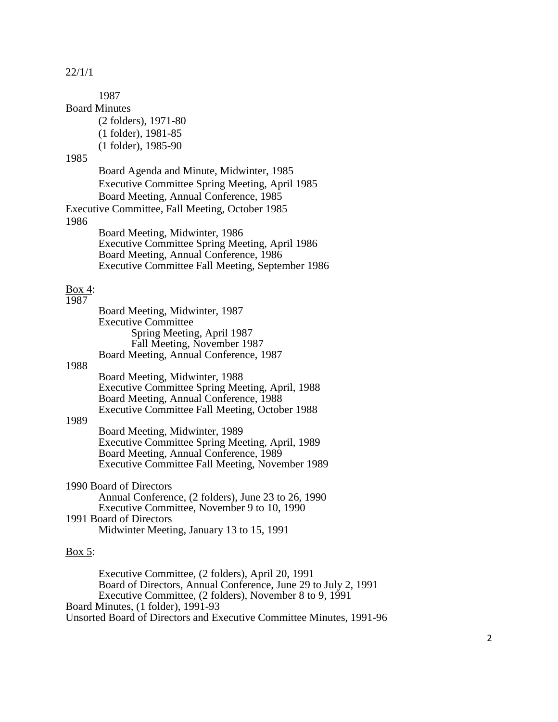1987 Board Minutes (2 folders), 1971-80 (1 folder), 1981-85 (1 folder), 1985-90 1985 Board Agenda and Minute, Midwinter, 1985 Executive Committee Spring Meeting, April 1985 Board Meeting, Annual Conference, 1985 Executive Committee, Fall Meeting, October 1985 1986 Board Meeting, Midwinter, 1986 Executive Committee Spring Meeting, April 1986 Board Meeting, Annual Conference, 1986 Executive Committee Fall Meeting, September 1986 Box 4: 1987 Board Meeting, Midwinter, 1987 Executive Committee Spring Meeting, April 1987 Fall Meeting, November 1987 Board Meeting, Annual Conference, 1987 1988 Board Meeting, Midwinter, 1988 Executive Committee Spring Meeting, April, 1988 Board Meeting, Annual Conference, 1988 Executive Committee Fall Meeting, October 1988 1989 Board Meeting, Midwinter, 1989 Executive Committee Spring Meeting, April, 1989 Board Meeting, Annual Conference, 1989 Executive Committee Fall Meeting, November 1989 1990 Board of Directors Annual Conference, (2 folders), June 23 to 26, 1990 Executive Committee, November 9 to 10, 1990 1991 Board of Directors Midwinter Meeting, January 13 to 15, 1991

## Box 5:

Executive Committee, (2 folders), April 20, 1991 Board of Directors, Annual Conference, June 29 to July 2, 1991 Executive Committee, (2 folders), November 8 to 9, 1991 Board Minutes, (1 folder), 1991-93 Unsorted Board of Directors and Executive Committee Minutes, 1991-96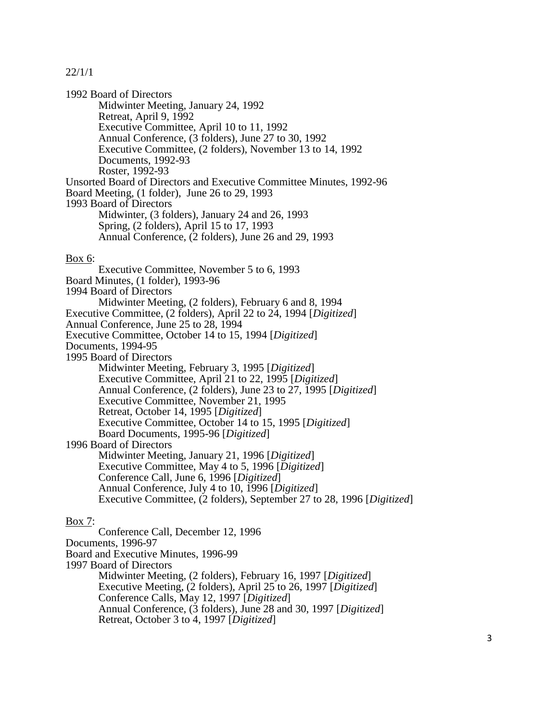1992 Board of Directors Midwinter Meeting, January 24, 1992 Retreat, April 9, 1992 Executive Committee, April 10 to 11, 1992 Annual Conference, (3 folders), June 27 to 30, 1992 Executive Committee, (2 folders), November 13 to 14, 1992 Documents, 1992-93 Roster, 1992-93 Unsorted Board of Directors and Executive Committee Minutes, 1992-96 Board Meeting, (1 folder), June 26 to 29, 1993 1993 Board of Directors Midwinter, (3 folders), January 24 and 26, 1993 Spring, (2 folders), April 15 to 17, 1993 Annual Conference, (2 folders), June 26 and 29, 1993 Box 6: Executive Committee, November 5 to 6, 1993 Board Minutes, (1 folder), 1993-96 1994 Board of Directors Midwinter Meeting, (2 folders), February 6 and 8, 1994 Executive Committee, (2 folders), April 22 to 24, 1994 [*Digitized*] Annual Conference, June 25 to 28, 1994 Executive Committee, October 14 to 15, 1994 [*Digitized*] Documents, 1994-95 1995 Board of Directors Midwinter Meeting, February 3, 1995 [*Digitized*] Executive Committee, April 21 to 22, 1995 [*Digitized*] Annual Conference, (2 folders), June 23 to 27, 1995 [*Digitized*] Executive Committee, November 21, 1995 Retreat, October 14, 1995 [*Digitized*] Executive Committee, October 14 to 15, 1995 [*Digitized*] Board Documents, 1995-96 [*Digitized*] 1996 Board of Directors Midwinter Meeting, January 21, 1996 [*Digitized*] Executive Committee, May 4 to 5, 1996 [*Digitized*] Conference Call, June 6, 1996 [*Digitized*] Annual Conference, July 4 to 10, 1996 [*Digitized*] Executive Committee, (2 folders), September 27 to 28, 1996 [*Digitized*]

## Box 7:

Conference Call, December 12, 1996 Documents, 1996-97 Board and Executive Minutes, 1996-99 1997 Board of Directors Midwinter Meeting, (2 folders), February 16, 1997 [*Digitized*] Executive Meeting, (2 folders), April 25 to 26, 1997 [*Digitized*] Conference Calls, May 12, 1997 [*Digitized*] Annual Conference, (3 folders), June 28 and 30, 1997 [*Digitized*] Retreat, October 3 to 4, 1997 [*Digitized*]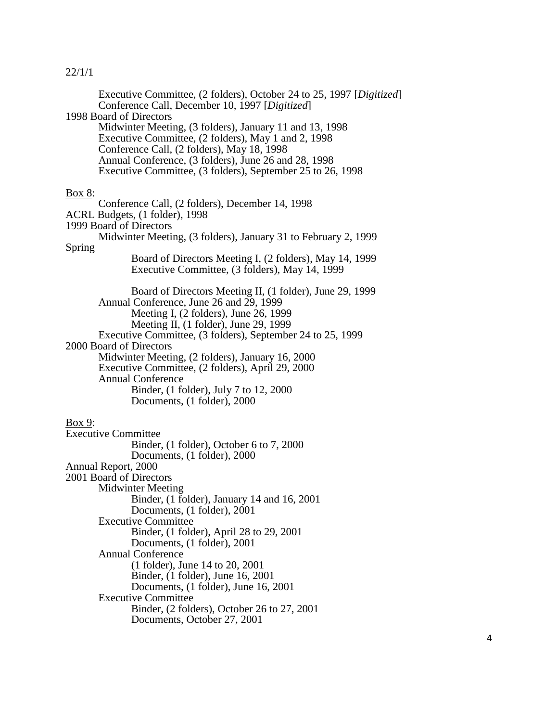|               | Executive Committee, (2 folders), October 24 to 25, 1997 [Digitized]<br>Conference Call, December 10, 1997 [Digitized]<br>1998 Board of Directors<br>Midwinter Meeting, (3 folders), January 11 and 13, 1998<br>Executive Committee, (2 folders), May 1 and 2, 1998<br>Conference Call, (2 folders), May 18, 1998<br>Annual Conference, (3 folders), June 26 and 28, 1998<br>Executive Committee, (3 folders), September 25 to 26, 1998                                                     |
|---------------|---------------------------------------------------------------------------------------------------------------------------------------------------------------------------------------------------------------------------------------------------------------------------------------------------------------------------------------------------------------------------------------------------------------------------------------------------------------------------------------------|
| <b>Box 8:</b> | Conference Call, (2 folders), December 14, 1998<br>ACRL Budgets, (1 folder), 1998<br>1999 Board of Directors<br>Midwinter Meeting, (3 folders), January 31 to February 2, 1999                                                                                                                                                                                                                                                                                                              |
| Spring        | Board of Directors Meeting I, (2 folders), May 14, 1999<br>Executive Committee, (3 folders), May 14, 1999                                                                                                                                                                                                                                                                                                                                                                                   |
|               | Board of Directors Meeting II, (1 folder), June 29, 1999<br>Annual Conference, June 26 and 29, 1999<br>Meeting I, (2 folders), June 26, 1999<br>Meeting II, (1 folder), June 29, 1999<br>Executive Committee, (3 folders), September 24 to 25, 1999<br>2000 Board of Directors<br>Midwinter Meeting, (2 folders), January 16, 2000<br>Executive Committee, (2 folders), April 29, 2000<br><b>Annual Conference</b><br>Binder, (1 folder), July 7 to 12, 2000<br>Documents, (1 folder), 2000 |
| Box 9:        |                                                                                                                                                                                                                                                                                                                                                                                                                                                                                             |
|               | <b>Executive Committee</b><br>Binder, (1 folder), October 6 to 7, 2000                                                                                                                                                                                                                                                                                                                                                                                                                      |
|               | Documents, (1 folder), 2000<br>Annual Report, 2000<br>2001 Board of Directors<br><b>Midwinter Meeting</b><br>Binder, (1 folder), January 14 and 16, 2001<br>Documents, (1 folder), 2001<br><b>Executive Committee</b><br>Binder, (1 folder), April 28 to 29, 2001                                                                                                                                                                                                                           |
|               | Documents, (1 folder), 2001<br><b>Annual Conference</b><br>(1 folder), June 14 to 20, 2001<br>Binder, (1 folder), June 16, 2001<br>Documents, (1 folder), June 16, 2001<br><b>Executive Committee</b><br>Binder, (2 folders), October 26 to 27, 2001<br>Documents, October 27, 2001                                                                                                                                                                                                         |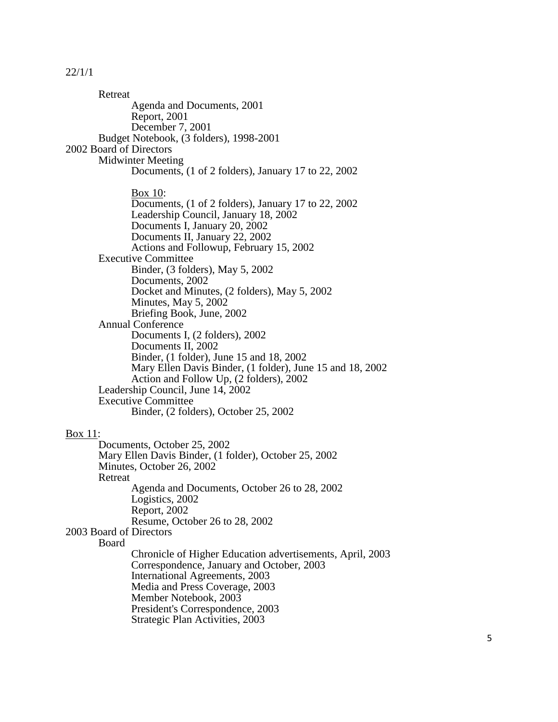Retreat Agenda and Documents, 2001 Report, 2001 December 7, 2001 Budget Notebook, (3 folders), 1998 -2001 2002 Board of Directors Midwinter Meeting Documents, (1 of 2 folders), January 17 to 22, 2002 Box 10: Documents, (1 of 2 folders), January 17 to 22, 2002 Leadership Council, January 18, 2002 Documents I, January 20, 2002 Documents II, January 22, 2002 Actions and Followup, February 15, 2002 Executive Committee Binder, (3 folders), May 5, 2002 Documents, 2002 Docket and Minutes, (2 folders), May 5, 2002 Minutes, May 5, 2002 Briefing Book, June, 2002 Annual Conference Documents I, (2 folders), 2002 Documents II, 2002 Binder, (1 folder), June 15 and 18, 2002 Mary Ellen Davis Binder, (1 folder), June 15 and 18, 2002 Action and Follow Up, (2 folders), 2002 Leadership Council, June 14, 2002 Executive Committee Binder, (2 folders), October 25, 2002 Box 11: Documents, October 25, 2002 Mary Ellen Davis Binder, (1 folder), October 25, 2002 Minutes, October 26, 2002 Retreat Agenda and Documents, October 26 to 28, 2002 Logistics, 2002 Report, 2002 Resume, October 26 to 28, 2002 2003 Board of Directors Board Chronicle of Higher Education advertisements, April, 2003 Correspondence, January and October, 2003 International Agreements, 2003 Media and Press Coverage, 2003 Member Notebook, 2003 President's Correspondence, 2003 Strategic Plan Activities, 2003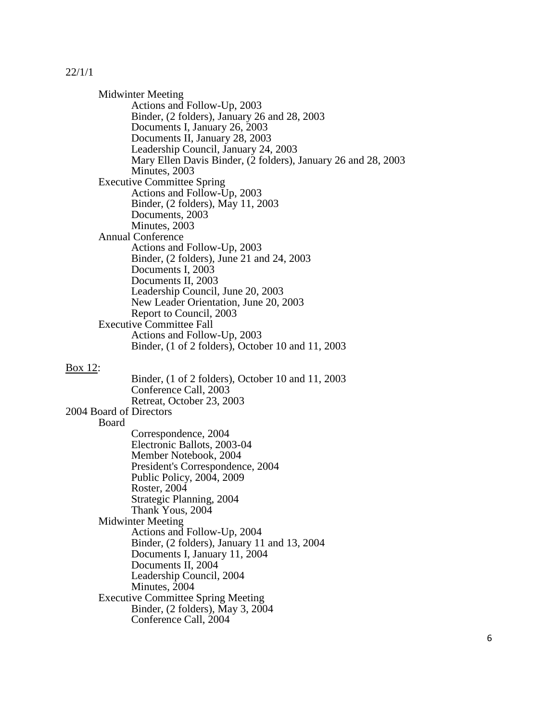Midwinter Meeting Actions and Follow-Up, 2003 Binder, (2 folders), January 26 and 28, 2003 Documents I, January 26, 2003 Documents II, January 28, 2003 Leadership Council, January 24, 2003 Mary Ellen Davis Binder, (2 folders), January 26 and 28, 2003 Minutes, 2003 Executive Committee Spring Actions and Follow-Up, 2003 Binder, (2 folders), May 11, 2003 Documents, 2003 Minutes, 2003 Annual Conference Actions and Follow-Up, 2003 Binder, (2 folders), June 21 and 24, 2003 Documents I, 2003 Documents II, 2003 Leadership Council, June 20, 2003 New Leader Orientation, June 20, 2003 Report to Council, 2003 Executive Committee Fall Actions and Follow-Up, 2003 Binder, (1 of 2 folders), October 10 and 11, 2003

#### Box 12:

Binder, (1 of 2 folders), October 10 and 11, 2003 Conference Call, 2003 Retreat, October 23, 2003 2004 Board of Directors Board Correspondence, 2004 Electronic Ballots, 2003-04 Member Notebook, 2004 President's Correspondence, 2004 Public Policy, 2004, 2009 Roster, 2004 Strategic Planning, 2004 Thank Yous, 2004 Midwinter Meeting Actions and Follow-Up, 2004 Binder, (2 folders), January 11 and 13, 2004 Documents I, January 11, 2004 Documents II, 2004 Leadership Council, 2004 Minutes, 2004 Executive Committee Spring Meeting Binder, (2 folders), May 3, 2004 Conference Call, 2004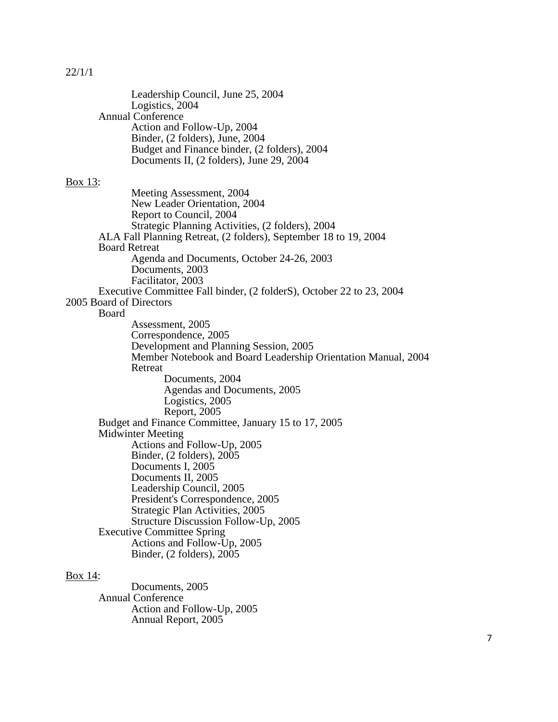|                          | Leadership Council, June 25, 2004<br>Logistics, 2004                 |
|--------------------------|----------------------------------------------------------------------|
| <b>Annual Conference</b> |                                                                      |
|                          | Action and Follow-Up, 2004                                           |
|                          | Binder, (2 folders), June, 2004                                      |
|                          | Budget and Finance binder, (2 folders), 2004                         |
|                          | Documents II, (2 folders), June 29, 2004                             |
|                          |                                                                      |
| Box 13:                  |                                                                      |
|                          | Meeting Assessment, 2004                                             |
|                          | New Leader Orientation, 2004                                         |
|                          | Report to Council, 2004                                              |
|                          | Strategic Planning Activities, (2 folders), 2004                     |
|                          | ALA Fall Planning Retreat, (2 folders), September 18 to 19, 2004     |
| <b>Board Retreat</b>     |                                                                      |
|                          | Agenda and Documents, October 24-26, 2003                            |
|                          | Documents, 2003                                                      |
|                          | Facilitator, 2003                                                    |
|                          | Executive Committee Fall binder, (2 folderS), October 22 to 23, 2004 |
| 2005 Board of Directors  |                                                                      |
| Board                    |                                                                      |
|                          | Assessment, 2005                                                     |
|                          | Correspondence, 2005                                                 |
|                          | Development and Planning Session, 2005                               |
|                          | Member Notebook and Board Leadership Orientation Manual, 2004        |
|                          | Retreat                                                              |
|                          | Documents, 2004                                                      |
|                          | Agendas and Documents, 2005                                          |
|                          | Logistics, 2005                                                      |
|                          | Report, 2005                                                         |
|                          | Budget and Finance Committee, January 15 to 17, 2005                 |
| <b>Midwinter Meeting</b> |                                                                      |
|                          | Actions and Follow-Up, 2005                                          |
|                          | Binder, (2 folders), 2005                                            |
|                          | Documents I, 2005                                                    |
|                          | Documents II, 2005                                                   |
|                          | Leadership Council, 2005                                             |
|                          | President's Correspondence, 2005                                     |
|                          | Strategic Plan Activities, 2005                                      |
|                          | Structure Discussion Follow-Up, 2005                                 |
|                          | <b>Executive Committee Spring</b>                                    |
|                          | Actions and Follow-Up, 2005                                          |
|                          | Binder, (2 folders), 2005                                            |
|                          |                                                                      |
|                          |                                                                      |

## Box 14:

Documents, 2005 Annual Conference Action and Follow-Up, 2005 Annual Report, 2005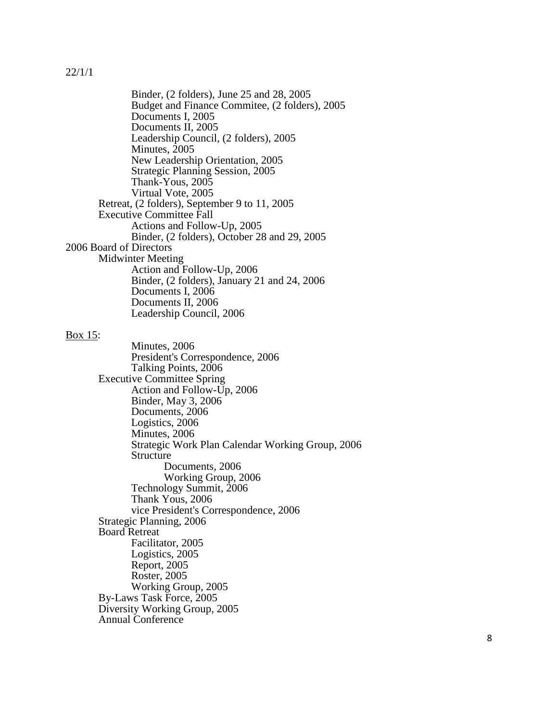Binder, (2 folders), June 25 and 28, 2005 Budget and Finance Commitee, (2 folders), 2005 Documents I, 2005 Documents II, 2005 Leadership Council, (2 folders), 2005 Minutes, 2005 New Leadership Orientation, 2005 Strategic Planning Session, 2005 Thank -Yous, 2005 Virtual Vote, 2005 Retreat, (2 folders), September 9 to 11, 2005 Executive Committee Fall Actions and Follow -Up, 2005 Binder, (2 folders), October 28 and 29, 2005 2006 Board of Directors Midwinter Meeting Action and Follow -Up, 2006 Binder, (2 folders), January 21 and 24, 2006 Documents I, 2006 Documents II, 2006 Leadership Council, 2006

#### Box 15:

Minutes, 2006 President's Correspondence, 2006 Talking Points, 2006 Executive Committee Spring Action and Follow -Up, 2006 Binder, May 3, 2006 Documents, 2006 Logistics, 2006 Minutes, 2006 Strategic Work Plan Calendar Working Group, 2006 Structure Documents, 2006 Working Group, 2006 Technology Summit, 2006 Thank Yous, 2006 vice President's Correspondence, 2006 Strategic Planning, 2006 Board Retreat Facilitator, 2005 Logistics, 2005 Report, 2005 Roster, 2005 Working Group, 2005 By -Laws Task Force, 2005 Diversity Working Group, 2005 Annual Conference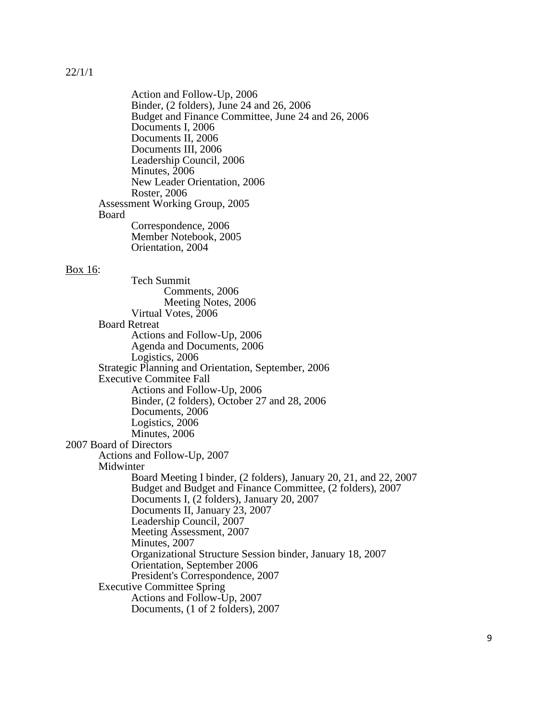Action and Follow-Up, 2006 Binder, (2 folders), June 24 and 26, 2006 Budget and Finance Committee, June 24 and 26, 2006 Documents I, 2006 Documents II, 2006 Documents III, 2006 Leadership Council, 2006 Minutes, 2006 New Leader Orientation, 2006 Roster, 2006 Assessment Working Group, 2005 Board Correspondence, 2006 Member Notebook, 2005 Orientation, 2004

#### Box 16:

Tech Summit Comments, 2006 Meeting Notes, 2006 Virtual Votes, 2006 Board Retreat Actions and Follow-Up, 2006 Agenda and Documents, 2006 Logistics, 2006 Strategic Planning and Orientation, September, 2006 Executive Commitee Fall Actions and Follow-Up, 2006 Binder, (2 folders), October 27 and 28, 2006 Documents, 2006 Logistics, 2006 Minutes, 2006 2007 Board of Directors Actions and Follow-Up, 2007 Midwinter Board Meeting I binder, (2 folders), January 20, 21, and 22, 2007 Budget and Budget and Finance Committee, (2 folders), 2007 Documents I, (2 folders), January 20, 2007 Documents II, January 23, 2007 Leadership Council, 2007 Meeting Assessment, 2007 Minutes, 2007 Organizational Structure Session binder, January 18, 2007 Orientation, September 2006 President's Correspondence, 2007 Executive Committee Spring Actions and Follow-Up, 2007 Documents, (1 of 2 folders), 2007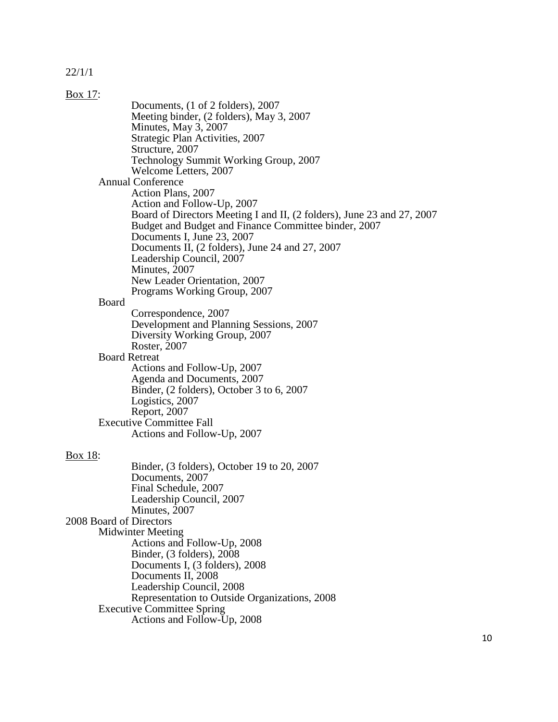| Box 17:                 |                                                                        |
|-------------------------|------------------------------------------------------------------------|
|                         | Documents, (1 of 2 folders), 2007                                      |
|                         | Meeting binder, (2 folders), May 3, 2007                               |
|                         | Minutes, May 3, 2007                                                   |
|                         | Strategic Plan Activities, 2007                                        |
|                         | Structure, 2007                                                        |
|                         | Technology Summit Working Group, 2007                                  |
|                         | Welcome Letters, 2007                                                  |
|                         | <b>Annual Conference</b>                                               |
|                         | Action Plans, 2007                                                     |
|                         | Action and Follow-Up, 2007                                             |
|                         | Board of Directors Meeting I and II, (2 folders), June 23 and 27, 2007 |
|                         | Budget and Budget and Finance Committee binder, 2007                   |
|                         | Documents I, June 23, 2007                                             |
|                         | Documents II, (2 folders), June 24 and 27, 2007                        |
|                         | Leadership Council, 2007                                               |
|                         | Minutes, 2007                                                          |
|                         | New Leader Orientation, 2007                                           |
|                         | Programs Working Group, 2007                                           |
| Board                   |                                                                        |
|                         | Correspondence, 2007                                                   |
|                         | Development and Planning Sessions, 2007                                |
|                         | Diversity Working Group, 2007                                          |
|                         | Roster, 2007                                                           |
| <b>Board Retreat</b>    |                                                                        |
|                         | Actions and Follow-Up, 2007                                            |
|                         | Agenda and Documents, 2007                                             |
|                         | Binder, (2 folders), October 3 to 6, 2007                              |
|                         | Logistics, 2007                                                        |
|                         | Report, 2007                                                           |
|                         | <b>Executive Committee Fall</b>                                        |
|                         | Actions and Follow-Up, 2007                                            |
|                         |                                                                        |
| Box 18:                 |                                                                        |
|                         | Binder, (3 folders), October 19 to 20, 2007                            |
|                         | Documents, 2007                                                        |
|                         | Final Schedule, 2007<br>Leadership Council, 2007                       |
|                         |                                                                        |
| 2008 Board of Directors | Minutes, 2007                                                          |
|                         | <b>Midwinter Meeting</b>                                               |
|                         | Actions and Follow-Up, 2008                                            |
|                         | Binder, (3 folders), 2008                                              |
|                         | Documents I, (3 folders), 2008                                         |
|                         | Documents II, 2008                                                     |
|                         | Leadership Council, 2008                                               |
|                         | Representation to Outside Organizations, 2008                          |
|                         | <b>Executive Committee Spring</b>                                      |
|                         | Actions and Follow-Up, 2008                                            |
|                         |                                                                        |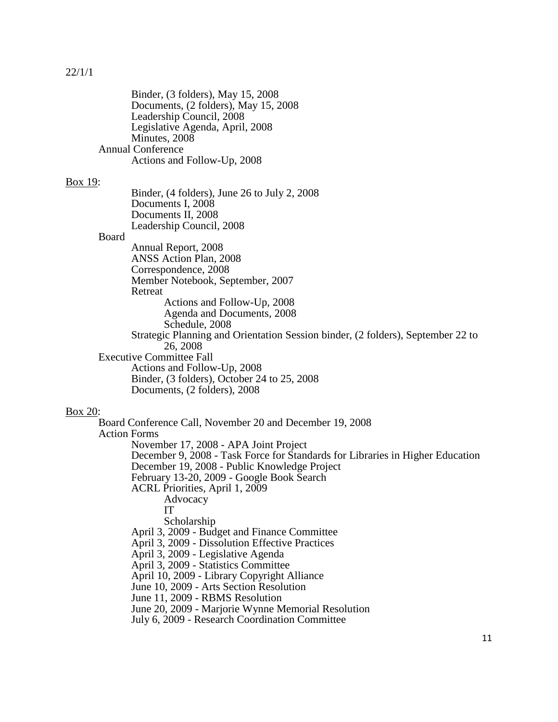|                     | Binder, (3 folders), May 15, 2008<br>Documents, (2 folders), May 15, 2008<br>Leadership Council, 2008<br>Legislative Agenda, April, 2008<br>Minutes, 2008<br><b>Annual Conference</b>                                                                                                                                                                                                                                                                                                                                                                                                                                                                                                                                                                                    |   |
|---------------------|--------------------------------------------------------------------------------------------------------------------------------------------------------------------------------------------------------------------------------------------------------------------------------------------------------------------------------------------------------------------------------------------------------------------------------------------------------------------------------------------------------------------------------------------------------------------------------------------------------------------------------------------------------------------------------------------------------------------------------------------------------------------------|---|
|                     | Actions and Follow-Up, 2008                                                                                                                                                                                                                                                                                                                                                                                                                                                                                                                                                                                                                                                                                                                                              |   |
| Box 19:             | Binder, $(4 \text{ folds})$ , June 26 to July 2, 2008<br>Documents I, 2008<br>Documents II, 2008<br>Leadership Council, 2008                                                                                                                                                                                                                                                                                                                                                                                                                                                                                                                                                                                                                                             |   |
| Board               | Annual Report, 2008<br>ANSS Action Plan, 2008<br>Correspondence, 2008<br>Member Notebook, September, 2007<br>Retreat<br>Actions and Follow-Up, 2008<br>Agenda and Documents, 2008<br>Schedule, 2008<br>Strategic Planning and Orientation Session binder, (2 folders), September 22 to<br>26, 2008                                                                                                                                                                                                                                                                                                                                                                                                                                                                       |   |
|                     | <b>Executive Committee Fall</b><br>Actions and Follow-Up, 2008<br>Binder, (3 folders), October 24 to 25, 2008<br>Documents, (2 folders), 2008                                                                                                                                                                                                                                                                                                                                                                                                                                                                                                                                                                                                                            |   |
| <b>Box 20:</b>      |                                                                                                                                                                                                                                                                                                                                                                                                                                                                                                                                                                                                                                                                                                                                                                          |   |
| <b>Action Forms</b> | Board Conference Call, November 20 and December 19, 2008<br>November 17, 2008 - APA Joint Project<br>December 9, 2008 - Task Force for Standards for Libraries in Higher Education<br>December 19, 2008 - Public Knowledge Project<br>February 13-20, 2009 - Google Book Search<br>ACRL Priorities, April 1, 2009<br>Advocacy<br>IТ<br>Scholarship<br>April 3, 2009 - Budget and Finance Committee<br>April 3, 2009 - Dissolution Effective Practices<br>April 3, 2009 - Legislative Agenda<br>April 3, 2009 - Statistics Committee<br>April 10, 2009 - Library Copyright Alliance<br>June 10, 2009 - Arts Section Resolution<br>June 11, 2009 - RBMS Resolution<br>June 20, 2009 - Marjorie Wynne Memorial Resolution<br>July 6, 2009 - Research Coordination Committee |   |
|                     |                                                                                                                                                                                                                                                                                                                                                                                                                                                                                                                                                                                                                                                                                                                                                                          | 1 |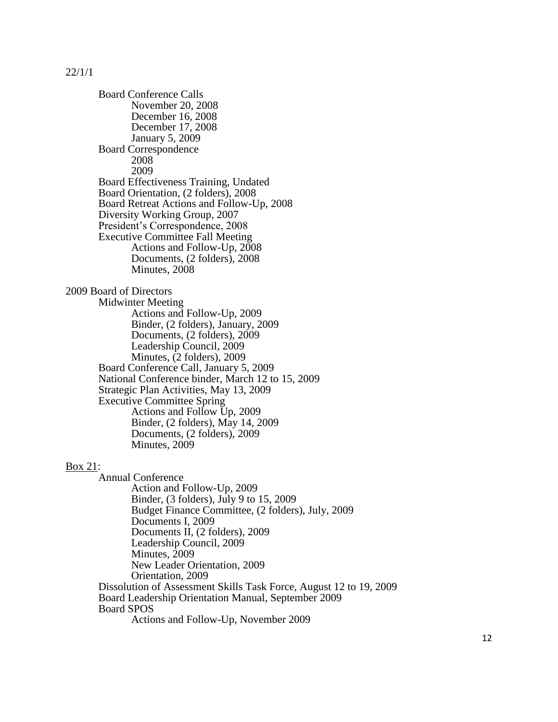Board Conference Calls November 20, 2008 December 16, 2008 December 17, 2008 January 5, 2009 Board Correspondence 2008 2009 Board Effectiveness Training, Undated Board Orientation, (2 folders), 2008 Board Retreat Actions and Follow-Up, 2008 Diversity Working Group, 2007 President's Correspondence, 2008 Executive Committee Fall Meeting Actions and Follow-Up, 2008 Documents, (2 folders), 2008 Minutes, 2008 2009 Board of Directors Midwinter Meeting Actions and Follow-Up, 2009 Binder, (2 folders), January, 2009 Documents, (2 folders), 2009 Leadership Council, 2009 Minutes, (2 folders), 2009 Board Conference Call, January 5, 2009 National Conference binder, March 12 to 15, 2009 Strategic Plan Activities, May 13, 2009 Executive Committee Spring Actions and Follow Up, 2009 Binder, (2 folders), May 14, 2009 Documents, (2 folders), 2009 Minutes, 2009 Annual Conference

Box 21:

Action and Follow-Up, 2009 Binder, (3 folders), July 9 to 15, 2009 Budget Finance Committee, (2 folders), July, 2009 Documents I, 2009 Documents II, (2 folders), 2009 Leadership Council, 2009 Minutes, 2009 New Leader Orientation, 2009 Orientation, 2009 Dissolution of Assessment Skills Task Force, August 12 to 19, 2009 Board Leadership Orientation Manual, September 2009 Board SPOS Actions and Follow-Up, November 2009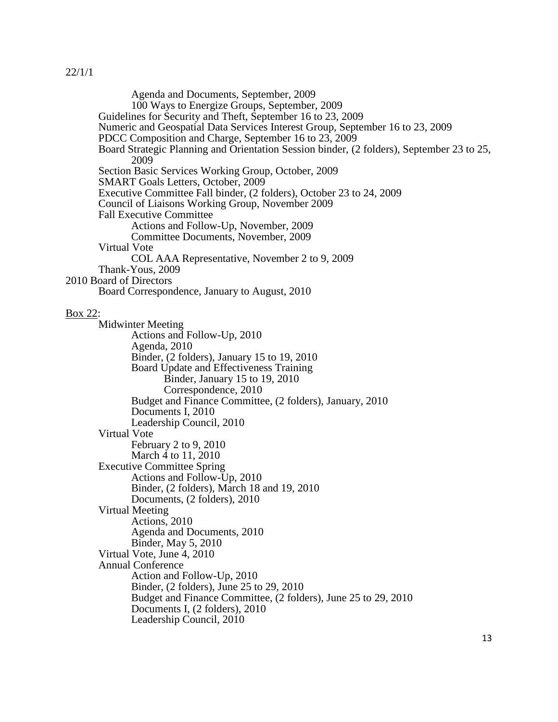Agenda and Documents, September, 2009 100 Ways to Energize Groups, September, 2009 Guidelines for Security and Theft, September 16 to 23, 2009 Numeric and Geospatial Data Services Interest Group, September 16 to 23, 2009 PDCC Composition and Charge, September 16 to 23, 2009 Board Strategic Planning and Orientation Session binder, (2 folders), September 23 to 25, 2009 Section Basic Services Working Group, October, 2009 SMART Goals Letters, October, 2009 Executive Committee Fall binder, (2 folders), October 23 to 24, 2009 Council of Liaisons Working Group, November 2009 Fall Executive Committee Actions and Follow-Up, November, 2009 Committee Documents, November, 2009 Virtual Vote COL AAA Representative, November 2 to 9, 2009 Thank-Yous, 2009 2010 Board of Directors Board Correspondence, January to August, 2010 Box 22: Midwinter Meeting Actions and Follow-Up, 2010 Agenda, 2010 Binder, (2 folders), January 15 to 19, 2010 Board Update and Effectiveness Training Binder, January 15 to 19, 2010 Correspondence, 2010 Budget and Finance Committee, (2 folders), January, 2010 Documents I, 2010 Leadership Council, 2010 Virtual Vote February 2 to 9, 2010 March 4 to 11, 2010 Executive Committee Spring Actions and Follow-Up, 2010 Binder, (2 folders), March 18 and 19, 2010 Documents, (2 folders), 2010 Virtual Meeting Actions, 2010 Agenda and Documents, 2010 Binder, May 5, 2010 Virtual Vote, June 4, 2010 Annual Conference Action and Follow-Up, 2010 Binder, (2 folders), June 25 to 29, 2010 Budget and Finance Committee, (2 folders), June 25 to 29, 2010 Documents I, (2 folders), 2010 Leadership Council, 2010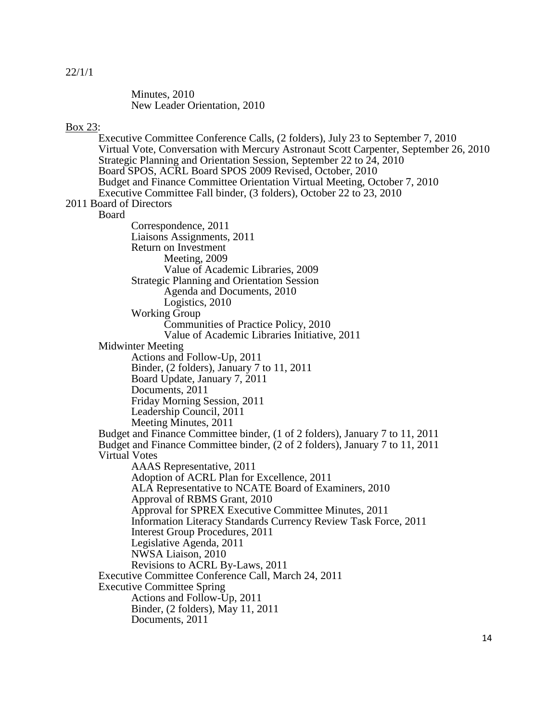Minutes, 2010 New Leader Orientation, 2010

#### Box 23:

Executive Committee Conference Calls, (2 folders), July 23 to September 7, 2010 Virtual Vote, Conversation with Mercury Astronaut Scott Carpenter, September 26, 2010 Strategic Planning and Orientation Session, September 22 to 24, 2010 Board SPOS, ACRL Board SPOS 2009 Revised, October, 2010 Budget and Finance Committee Orientation Virtual Meeting, October 7, 2010 Executive Committee Fall binder, (3 folders), October 22 to 23, 2010 2011 Board of Directors Board Correspondence, 2011 Liaisons Assignments, 2011 Return on Investment Meeting, 2009 Value of Academic Libraries, 2009 Strategic Planning and Orientation Session Agenda and Documents, 2010 Logistics, 2010 Working Group Communities of Practice Policy, 2010 Value of Academic Libraries Initiative, 2011 Midwinter Meeting Actions and Follow-Up, 2011 Binder, (2 folders), January 7 to 11, 2011 Board Update, January 7, 2011 Documents, 2011 Friday Morning Session, 2011 Leadership Council, 2011 Meeting Minutes, 2011 Budget and Finance Committee binder, (1 of 2 folders), January 7 to 11, 2011 Budget and Finance Committee binder, (2 of 2 folders), January 7 to 11, 2011 Virtual Votes AAAS Representative, 2011 Adoption of ACRL Plan for Excellence, 2011 ALA Representative to NCATE Board of Examiners, 2010 Approval of RBMS Grant, 2010 Approval for SPREX Executive Committee Minutes, 2011 Information Literacy Standards Currency Review Task Force, 2011 Interest Group Procedures, 2011 Legislative Agenda, 2011 NWSA Liaison, 2010 Revisions to ACRL By-Laws, 2011 Executive Committee Conference Call, March 24, 2011 Executive Committee Spring Actions and Follow-Up, 2011 Binder, (2 folders), May 11, 2011 Documents, 2011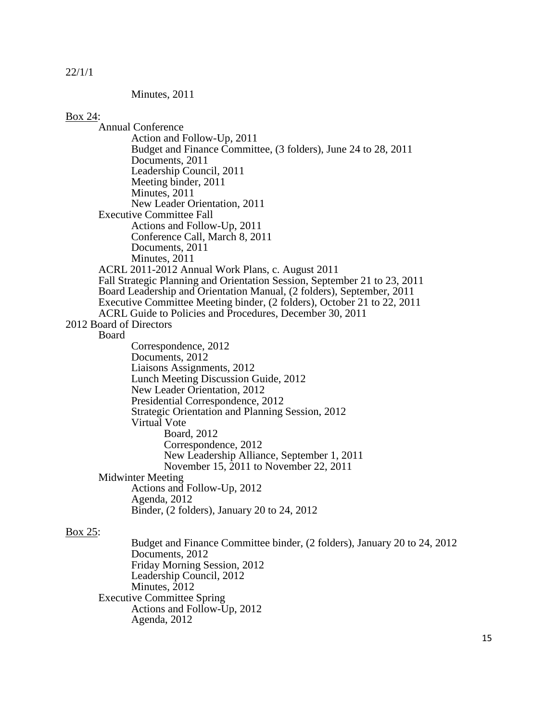Minutes, 2011

#### Box 24:

Annual Conference Action and Follow-Up, 2011 Budget and Finance Committee, (3 folders), June 24 to 28, 2011 Documents, 2011 Leadership Council, 2011 Meeting binder, 2011 Minutes, 2011 New Leader Orientation, 2011 Executive Committee Fall Actions and Follow-Up, 2011 Conference Call, March 8, 2011 Documents, 2011 Minutes, 2011 ACRL 2011-2012 Annual Work Plans, c. August 2011 Fall Strategic Planning and Orientation Session, September 21 to 23, 2011 Board Leadership and Orientation Manual, (2 folders), September, 2011 Executive Committee Meeting binder, (2 folders), October 21 to 22, 2011 ACRL Guide to Policies and Procedures, December 30, 2011 2012 Board of Directors Board Correspondence, 2012 Documents, 2012 Liaisons Assignments, 2012 Lunch Meeting Discussion Guide, 2012 New Leader Orientation, 2012 Presidential Correspondence, 2012 Strategic Orientation and Planning Session, 2012 Virtual Vote Board, 2012 Correspondence, 2012 New Leadership Alliance, September 1, 2011 November 15, 2011 to November 22, 2011 Midwinter Meeting Actions and Follow-Up, 2012 Agenda, 2012 Binder, (2 folders), January 20 to 24, 2012 Box 25: Budget and Finance Committee binder, (2 folders), January 20 to 24, 2012 Documents, 2012 Friday Morning Session, 2012 Leadership Council, 2012 Minutes, 2012 Executive Committee Spring Actions and Follow-Up, 2012

Agenda, 2012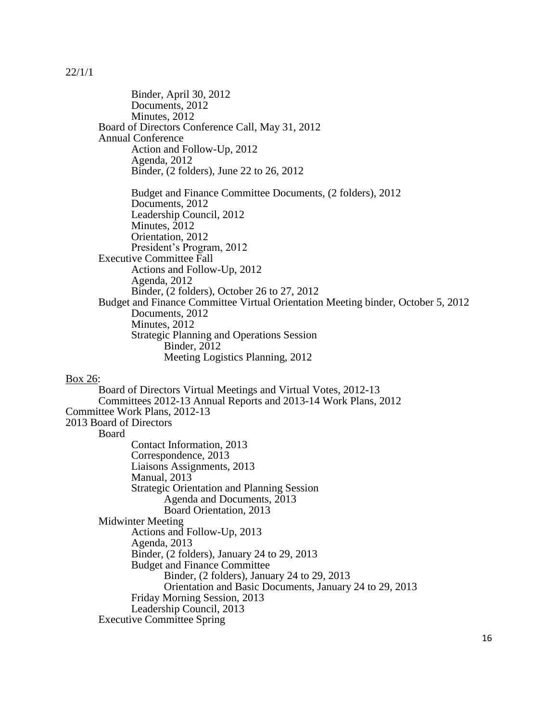Binder, April 30, 2012 Documents, 2012 Minutes, 2012 Board of Directors Conference Call, May 31, 2012 Annual Conference Action and Follow-Up, 2012 Agenda, 2012 Binder, (2 folders), June 22 to 26, 2012 Budget and Finance Committee Documents, (2 folders), 2012 Documents, 2012 Leadership Council, 2012 Minutes, 2012 Orientation, 2012 President's Program, 2012 Executive Committee Fall Actions and Follow-Up, 2012 Agenda, 2012 Binder, (2 folders), October 26 to 27, 2012 Budget and Finance Committee Virtual Orientation Meeting binder, October 5, 2012 Documents, 2012 Minutes, 2012 Strategic Planning and Operations Session **Binder**, 2012 Meeting Logistics Planning, 2012 Box 26: Board of Directors Virtual Meetings and Virtual Votes, 2012-13 Committees 2012-13 Annual Reports and 2013-14 Work Plans, 2012 Committee Work Plans, 2012-13 2013 Board of Directors Board Contact Information, 2013 Correspondence, 2013 Liaisons Assignments, 2013 Manual, 2013 Strategic Orientation and Planning Session Agenda and Documents, 2013 Board Orientation, 2013 Midwinter Meeting Actions and Follow-Up, 2013 Agenda, 2013 Binder, (2 folders), January 24 to 29, 2013 Budget and Finance Committee Binder, (2 folders), January 24 to 29, 2013

Orientation and Basic Documents, January 24 to 29, 2013

Friday Morning Session, 2013

Leadership Council, 2013

Executive Committee Spring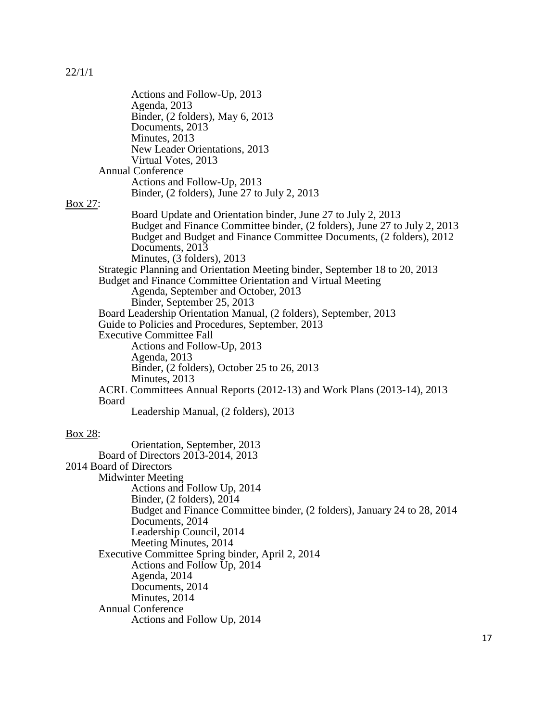|         | Actions and Follow-Up, 2013                                                                 |
|---------|---------------------------------------------------------------------------------------------|
|         | Agenda, 2013                                                                                |
|         | Binder, (2 folders), May 6, 2013                                                            |
|         | Documents, 2013<br>Minutes, 2013                                                            |
|         | New Leader Orientations, 2013                                                               |
|         | Virtual Votes, 2013                                                                         |
|         | <b>Annual Conference</b>                                                                    |
|         | Actions and Follow-Up, 2013                                                                 |
|         | Binder, $(2 \text{ folds})$ , June 27 to July 2, 2013                                       |
| Box 27: |                                                                                             |
|         | Board Update and Orientation binder, June 27 to July 2, 2013                                |
|         | Budget and Finance Committee binder, (2 folders), June 27 to July 2, 2013                   |
|         | Budget and Budget and Finance Committee Documents, (2 folders), 2012                        |
|         | Documents, 2013<br>Minutes, (3 folders), 2013                                               |
|         | Strategic Planning and Orientation Meeting binder, September 18 to 20, 2013                 |
|         | Budget and Finance Committee Orientation and Virtual Meeting                                |
|         | Agenda, September and October, 2013                                                         |
|         | Binder, September 25, 2013                                                                  |
|         | Board Leadership Orientation Manual, (2 folders), September, 2013                           |
|         | Guide to Policies and Procedures, September, 2013                                           |
|         | <b>Executive Committee Fall</b>                                                             |
|         | Actions and Follow-Up, 2013                                                                 |
|         | Agenda, 2013                                                                                |
|         | Binder, (2 folders), October 25 to 26, 2013<br>Minutes, 2013                                |
|         | ACRL Committees Annual Reports (2012-13) and Work Plans (2013-14), 2013                     |
|         | Board                                                                                       |
|         | Leadership Manual, (2 folders), 2013                                                        |
| Box 28: |                                                                                             |
|         | Orientation, September, 2013                                                                |
|         | Board of Directors 2013-2014, 2013                                                          |
|         | 2014 Board of Directors                                                                     |
|         | <b>Midwinter Meeting</b>                                                                    |
|         | Actions and Follow Up, 2014                                                                 |
|         | Binder, $(2 \text{ foldsers})$ , $2014$                                                     |
|         | Budget and Finance Committee binder, (2 folders), January 24 to 28, 2014<br>Documents, 2014 |
|         | Leadership Council, 2014                                                                    |
|         | Meeting Minutes, 2014                                                                       |
|         | Executive Committee Spring binder, April 2, 2014                                            |
|         | Actions and Follow Up, 2014                                                                 |
|         | Agenda, 2014                                                                                |
|         | Documents, 2014                                                                             |
|         | Minutes, 2014                                                                               |
|         | <b>Annual Conference</b>                                                                    |
|         | Actions and Follow Up, 2014                                                                 |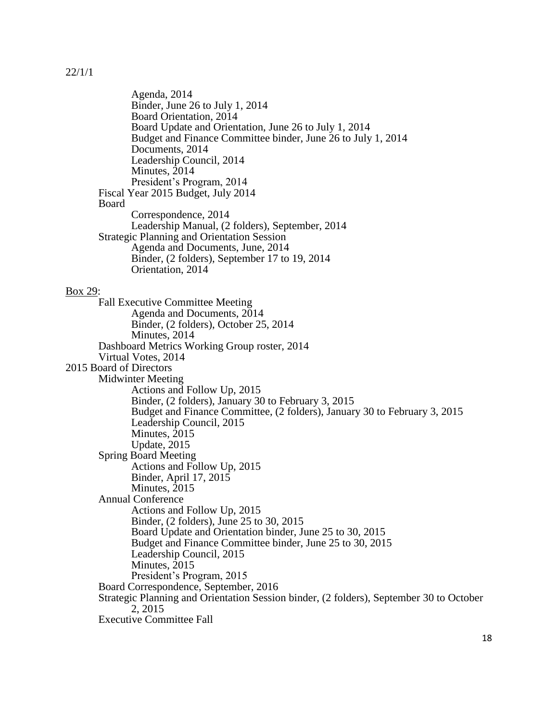Agenda, 2014 Binder, June 26 to July 1, 2014 Board Orientation, 2014 Board Update and Orientation, June 26 to July 1, 2014 Budget and Finance Committee binder, June 26 to July 1, 2014 Documents, 2014 Leadership Council, 2014 Minutes, 2014 President's Program, 2014 Fiscal Year 2015 Budget, July 2014 Board Correspondence, 2014 Leadership Manual, (2 folders), September, 2014 Strategic Planning and Orientation Session Agenda and Documents, June, 2014 Binder, (2 folders), September 17 to 19, 2014 Orientation, 2014 Box 29: Fall Executive Committee Meeting Agenda and Documents, 2014 Binder, (2 folders), October 25, 2014 Minutes, 2014 Dashboard Metrics Working Group roster, 2014 Virtual Votes, 2014 2015 Board of Directors Midwinter Meeting Actions and Follow Up, 2015 Binder, (2 folders), January 30 to February 3, 2015 Budget and Finance Committee, (2 folders), January 30 to February 3, 2015 Leadership Council, 2015 Minutes, 2015 Update, 2015 Spring Board Meeting Actions and Follow Up, 2015 Binder, April 17, 2015 Minutes, 2015 Annual Conference Actions and Follow Up, 2015 Binder, (2 folders), June 25 to 30, 2015 Board Update and Orientation binder, June 25 to 30, 2015 Budget and Finance Committee binder, June 25 to 30, 2015 Leadership Council, 2015 Minutes, 2015 President's Program, 2015 Board Correspondence, September, 2016 Strategic Planning and Orientation Session binder, (2 folders), September 30 to October 2, 2015 Executive Committee Fall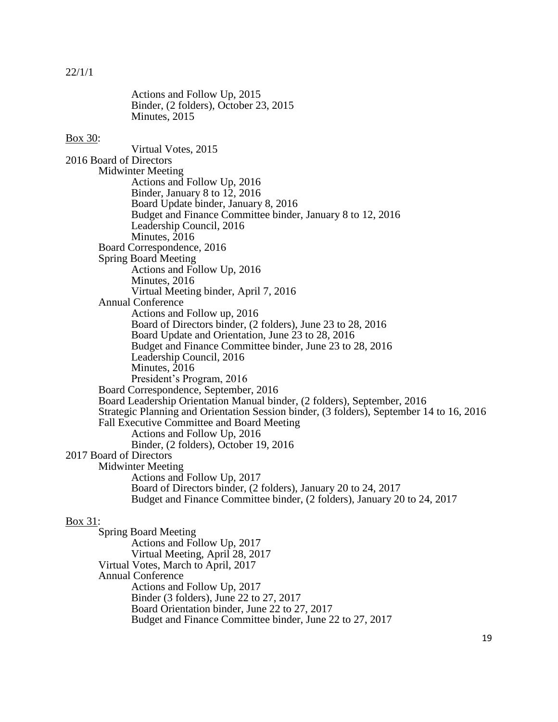Actions and Follow Up, 2015 Binder, (2 folders), October 23, 2015 Minutes, 2015 Box 30: Virtual Votes, 2015 2016 Board of Directors Midwinter Meeting Actions and Follow Up, 2016 Binder, January 8 to 12, 2016 Board Update binder, January 8, 2016 Budget and Finance Committee binder, January 8 to 12, 2016 Leadership Council, 2016 Minutes, 2016 Board Correspondence, 2016 Spring Board Meeting Actions and Follow Up, 2016 Minutes, 2016 Virtual Meeting binder, April 7, 2016 Annual Conference Actions and Follow up, 2016 Board of Directors binder, (2 folders), June 23 to 28, 2016 Board Update and Orientation, June 23 to 28, 2016 Budget and Finance Committee binder, June 23 to 28, 2016 Leadership Council, 2016 Minutes, 2016 President's Program, 2016 Board Correspondence, September, 2016 Board Leadership Orientation Manual binder, (2 folders), September, 2016 Strategic Planning and Orientation Session binder, (3 folders), September 14 to 16, 2016 Fall Executive Committee and Board Meeting Actions and Follow Up, 2016 Binder, (2 folders), October 19, 2016 2017 Board of Directors Midwinter Meeting Actions and Follow Up, 2017 Board of Directors binder, (2 folders), January 20 to 24, 2017 Budget and Finance Committee binder, (2 folders), January 20 to 24, 2017 Box 31: Spring Board Meeting

Actions and Follow Up, 2017 Virtual Meeting, April 28, 2017 Virtual Votes, March to April, 2017 Annual Conference Actions and Follow Up, 2017 Binder (3 folders), June 22 to 27, 2017 Board Orientation binder, June 22 to 27, 2017 Budget and Finance Committee binder, June 22 to 27, 2017